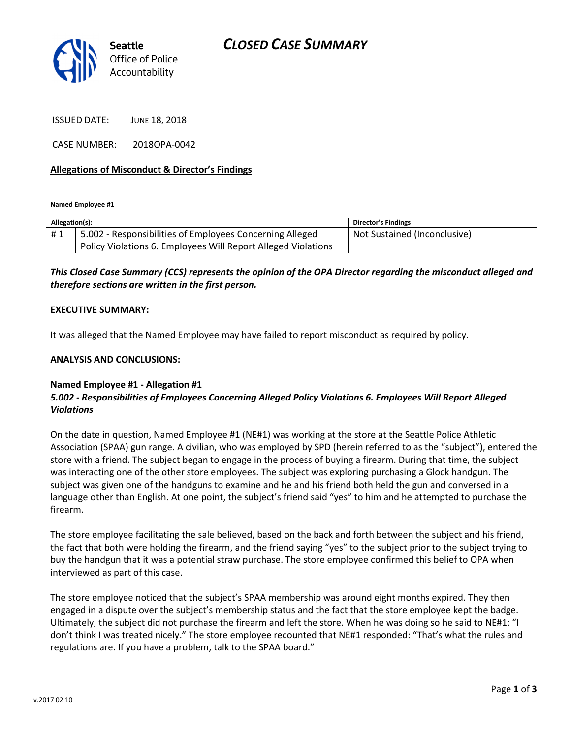

ISSUED DATE: JUNE 18, 2018

CASE NUMBER: 2018OPA-0042

#### Allegations of Misconduct & Director's Findings

Named Employee #1

| Allegation(s): |                                                               | <b>Director's Findings</b>   |
|----------------|---------------------------------------------------------------|------------------------------|
| #1             | 5.002 - Responsibilities of Employees Concerning Alleged      | Not Sustained (Inconclusive) |
|                | Policy Violations 6. Employees Will Report Alleged Violations |                              |

### This Closed Case Summary (CCS) represents the opinion of the OPA Director regarding the misconduct alleged and therefore sections are written in the first person.

#### EXECUTIVE SUMMARY:

It was alleged that the Named Employee may have failed to report misconduct as required by policy.

#### ANALYSIS AND CONCLUSIONS:

#### Named Employee #1 - Allegation #1

## 5.002 - Responsibilities of Employees Concerning Alleged Policy Violations 6. Employees Will Report Alleged Violations

On the date in question, Named Employee #1 (NE#1) was working at the store at the Seattle Police Athletic Association (SPAA) gun range. A civilian, who was employed by SPD (herein referred to as the "subject"), entered the store with a friend. The subject began to engage in the process of buying a firearm. During that time, the subject was interacting one of the other store employees. The subject was exploring purchasing a Glock handgun. The subject was given one of the handguns to examine and he and his friend both held the gun and conversed in a language other than English. At one point, the subject's friend said "yes" to him and he attempted to purchase the firearm.

The store employee facilitating the sale believed, based on the back and forth between the subject and his friend, the fact that both were holding the firearm, and the friend saying "yes" to the subject prior to the subject trying to buy the handgun that it was a potential straw purchase. The store employee confirmed this belief to OPA when interviewed as part of this case.

The store employee noticed that the subject's SPAA membership was around eight months expired. They then engaged in a dispute over the subject's membership status and the fact that the store employee kept the badge. Ultimately, the subject did not purchase the firearm and left the store. When he was doing so he said to NE#1: "I don't think I was treated nicely." The store employee recounted that NE#1 responded: "That's what the rules and regulations are. If you have a problem, talk to the SPAA board."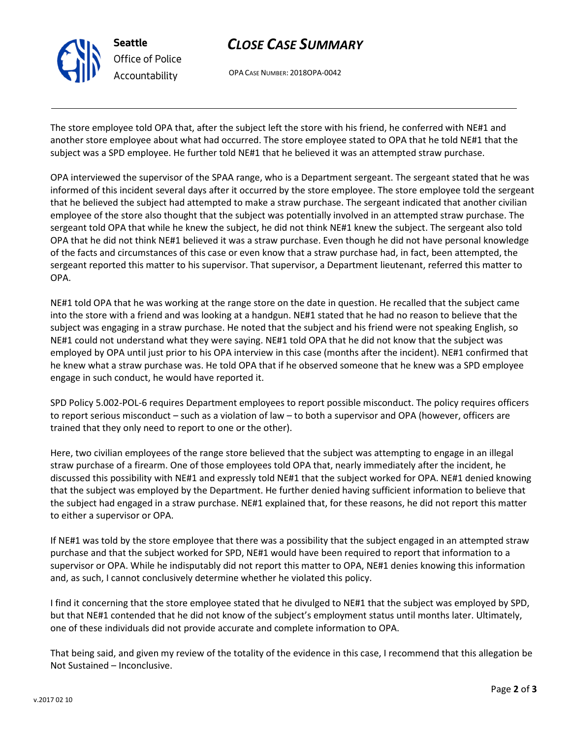

## CLOSE CASE SUMMARY

OPA CASE NUMBER: 2018OPA-0042

The store employee told OPA that, after the subject left the store with his friend, he conferred with NE#1 and another store employee about what had occurred. The store employee stated to OPA that he told NE#1 that the subject was a SPD employee. He further told NE#1 that he believed it was an attempted straw purchase.

OPA interviewed the supervisor of the SPAA range, who is a Department sergeant. The sergeant stated that he was informed of this incident several days after it occurred by the store employee. The store employee told the sergeant that he believed the subject had attempted to make a straw purchase. The sergeant indicated that another civilian employee of the store also thought that the subject was potentially involved in an attempted straw purchase. The sergeant told OPA that while he knew the subject, he did not think NE#1 knew the subject. The sergeant also told OPA that he did not think NE#1 believed it was a straw purchase. Even though he did not have personal knowledge of the facts and circumstances of this case or even know that a straw purchase had, in fact, been attempted, the sergeant reported this matter to his supervisor. That supervisor, a Department lieutenant, referred this matter to OPA.

NE#1 told OPA that he was working at the range store on the date in question. He recalled that the subject came into the store with a friend and was looking at a handgun. NE#1 stated that he had no reason to believe that the subject was engaging in a straw purchase. He noted that the subject and his friend were not speaking English, so NE#1 could not understand what they were saying. NE#1 told OPA that he did not know that the subject was employed by OPA until just prior to his OPA interview in this case (months after the incident). NE#1 confirmed that he knew what a straw purchase was. He told OPA that if he observed someone that he knew was a SPD employee engage in such conduct, he would have reported it.

SPD Policy 5.002-POL-6 requires Department employees to report possible misconduct. The policy requires officers to report serious misconduct – such as a violation of law – to both a supervisor and OPA (however, officers are trained that they only need to report to one or the other).

Here, two civilian employees of the range store believed that the subject was attempting to engage in an illegal straw purchase of a firearm. One of those employees told OPA that, nearly immediately after the incident, he discussed this possibility with NE#1 and expressly told NE#1 that the subject worked for OPA. NE#1 denied knowing that the subject was employed by the Department. He further denied having sufficient information to believe that the subject had engaged in a straw purchase. NE#1 explained that, for these reasons, he did not report this matter to either a supervisor or OPA.

If NE#1 was told by the store employee that there was a possibility that the subject engaged in an attempted straw purchase and that the subject worked for SPD, NE#1 would have been required to report that information to a supervisor or OPA. While he indisputably did not report this matter to OPA, NE#1 denies knowing this information and, as such, I cannot conclusively determine whether he violated this policy.

I find it concerning that the store employee stated that he divulged to NE#1 that the subject was employed by SPD, but that NE#1 contended that he did not know of the subject's employment status until months later. Ultimately, one of these individuals did not provide accurate and complete information to OPA.

That being said, and given my review of the totality of the evidence in this case, I recommend that this allegation be Not Sustained – Inconclusive.